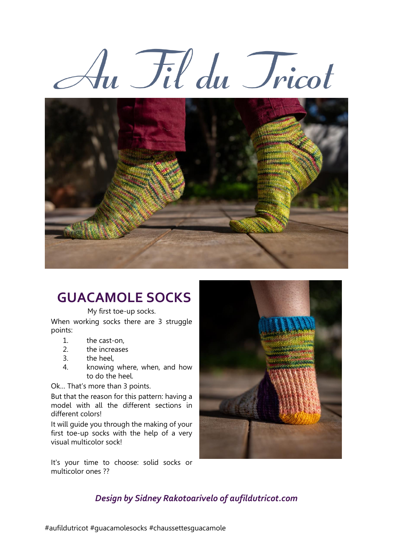



# **GUACAMOLE SOCKS**

My first toe-up socks.

When working socks there are 3 struggle points:

- 1. the cast-on,
- 2. the increases
- 3. the heel,
- 4. knowing where, when, and how to do the heel.

Ok… That's more than 3 points.

But that the reason for this pattern: having a model with all the different sections in different colors!

It will guide you through the making of your first toe-up socks with the help of a very visual multicolor sock!

It's your time to choose: solid socks or multicolor ones ??



# *Design by Sidney Rakotoarivelo of aufildutricot.com*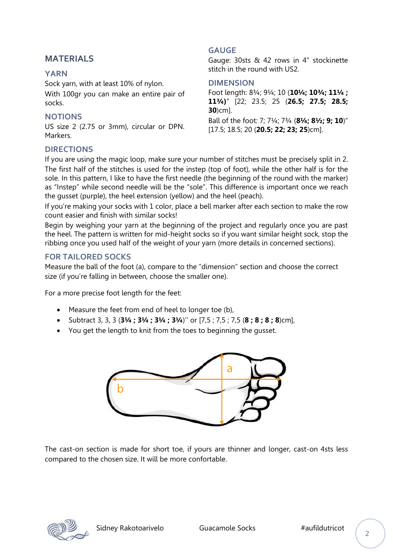### **MATERIALS**

#### **YARN**

Sock yarn, with at least 10% of nylon. With 100gr you can make an entire pair of socks.

#### **NOTIONS**

US size 2 (2.75 or 3mm), circular or DPN. Markers.

# **DIRECTIONS**

#### **GAUGE**

Gauge: 30sts & 42 rows in 4" stockinette stitch in the round with US2.

#### **DIMENSION**

Foot length: 8¾; 9¼; 10 (**10¼; 10¾; 11¼ ; 11¾)**" [22; 23.5; 25 (**26.5; 27.5; 28.5; 30**)cm].

Ball of the foot: 7; 7¼; 7¾ (**8¼; 8½; 9; 10**)" [17.5; 18.5; 20 (**20.5; 22; 23; 25**)cm].

If you are using the magic loop, make sure your number of stitches must be precisely split in 2. The first half of the stitches is used for the instep (top of foot), while the other half is for the sole. In this pattern, I like to have the first needle (the beginning of the round with the marker) as "Instep" while second needle will be the "sole". This difference is important once we reach the gusset (purple), the heel extension (yellow) and the heel (peach).

If you're making your socks with 1 color, place a bell marker after each section to make the row count easier and finish with similar socks!

Begin by weighing your yarn at the beginning of the project and regularly once you are past the heel. The pattern is written for mid-height socks so if you want similar height sock, stop the ribbing once you used half of the weight of your yarn (more details in concerned sections).

#### **FOR TAILORED SOCKS**

Measure the ball of the foot (a), compare to the "dimension" section and choose the correct size (if you're falling in between, choose the smaller one).

For a more precise foot length for the feet:

- Measure the feet from end of heel to longer toe (b),
- Subtract 3, 3, 3 (**3¼ ; 3¼ ; 3¼ ; 3¼**)'' or [7,5 ; 7,5 ; 7,5 (**8 ; 8 ; 8 ; 8**)cm],
- You get the length to knit from the toes to beginning the gusset.



The cast-on section is made for short toe, if yours are thinner and longer, cast-on 4sts less compared to the chosen size. It will be more confortable.

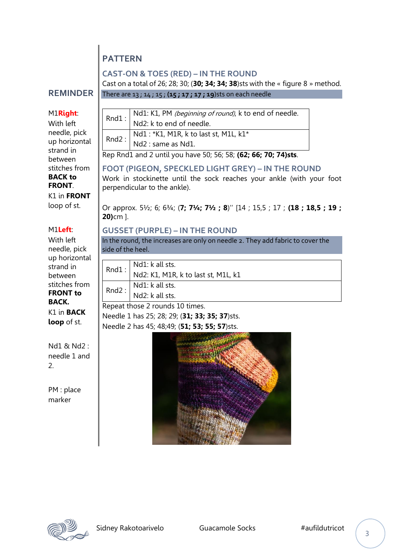# **PATTERN**

#### **CAST-ON & TOES (RED) – IN THE ROUND**

There are 13 ; 14 ; 15 ; **(15 ; 17 ; 17 ; 19**)sts on each needle

Cast on a total of 26; 28; 30; (**30; 34; 34; 38**)sts with the « figure 8 » method.

#### **REMINDER**

#### M1**Right**:

With left needle, pick up horizontal strand in between stitches from **BACK to FRONT**. K1 in **FRONT**

loop of st.

### M1**Left**:

With left needle, pick up horizontal strand in between stitches from **FRONT to BACK.** K1 in **BACK loop** of st.

Nd1 & Nd2 : needle 1 and 2.

PM : place marker

|  | Rnd1: $\begin{vmatrix} Nd1: K1, PM$ (beginning of round), k to end of needle.<br>$Nd2: k$ to end of needle. |
|--|-------------------------------------------------------------------------------------------------------------|
|  |                                                                                                             |
|  | Rnd2 : $Nd1 : *K1$ , M1R, k to last st, M1L, $k1*$<br>Nd2 : same as Nd1.                                    |
|  |                                                                                                             |

Rep Rnd1 and 2 until you have 50; 56; 58; **(62; 66; 70; 74)sts**.

#### **FOOT (PIGEON, SPECKLED LIGHT GREY) – IN THE ROUND** Work in stockinette until the sock reaches your ankle (with your foot perpendicular to the ankle).

Or approx. 5½; 6; 6¾; (**7; 7¼; 7½ ; 8**)'' [14 ; 15,5 ; 17 ; **(18 ; 18,5 ; 19 ; 20)**cm ].

## **GUSSET (PURPLE) – IN THE ROUND**

In the round, the increases are only on needle 2. They add fabric to cover the side of the heel.

|                                                 | Rnd $1:$ Nd1: k all sts.<br>Nd2: K1, M1R, k to last st, M1L, k1 |  |
|-------------------------------------------------|-----------------------------------------------------------------|--|
|                                                 |                                                                 |  |
| Rnd2 : $Nd1$ : k all sts.<br>$Nd2$ : k all sts. |                                                                 |  |
|                                                 |                                                                 |  |
| Repeat those 2 rounds 10 times.                 |                                                                 |  |
| Nessale 1 Les 25, 20, 20, 211, 22, 25, 27, 11   |                                                                 |  |

Needle 1 has 25; 28; 29; (**31; 33; 35; 37**)sts. Needle 2 has 45; 48;49; (**51; 53; 55; 57**)sts.



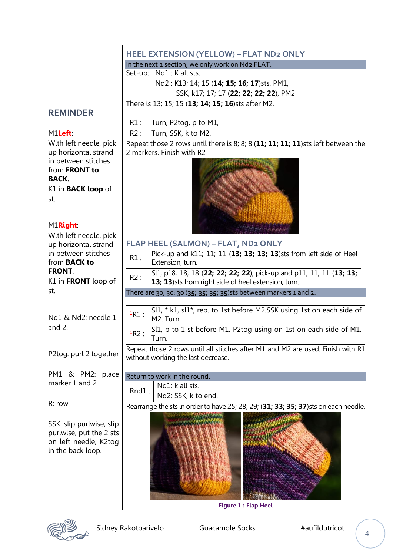# **HEEL EXTENSION (YELLOW) – FLAT ND2 ONLY**

In the next 2 section, we only work on Nd2 FLAT.

Set-up: Nd1 : K all sts.

Nd2 : K13; 14; 15 (**14; 15; 16; 17**)sts, PM1,

SSK, k17; 17; 17 (**22; 22; 22; 22**), PM2

There is 13; 15; 15 (**13; 14; 15; 16**)sts after M2.

## **REMINDER**

#### M1**Left**:

With left needle, pick up horizontal strand in between stitches from **FRONT to BACK.**

K1 in **BACK loop** of st.

#### M1**Right**:

With left needle, pick up horizontal strand in between stitches from **BACK to FRONT**.

K1 in **FRONT** loop of st.

Nd1 & Nd2: needle 1 and 2.

P2tog: purl 2 together

PM1 & PM2: place marker 1 and 2

R: row

SSK: slip purlwise, slip purlwise, put the 2 sts on left needle, K2tog in the back loop.



Repeat those 2 rows until there is 8; 8; 8 (**11; 11; 11; 11**)sts left between the 2 markers. Finish with R2



#### **FLAP HEEL (SALMON) – FLAT, ND2 ONLY**

| R1:                                                                                                                   | Pick-up and k11; 11; 11 (13; 13; 13; 13)sts from left side of Heel<br>Extension, turn.                                      |  |
|-----------------------------------------------------------------------------------------------------------------------|-----------------------------------------------------------------------------------------------------------------------------|--|
| R2:                                                                                                                   | Sl1, p18; 18; 18 (22; 22; 22; 22), pick-up and p11; 11; 11 (13; 13;<br>13; 13) sts from right side of heel extension, turn. |  |
| There are 30; 30; 30 (35; 35; 35; 35) sts between markers 1 and 2.                                                    |                                                                                                                             |  |
|                                                                                                                       |                                                                                                                             |  |
| 1R1:                                                                                                                  | $SL1 * k1$ , $sl1*$ , rep. to 1st before M2.SSK using 1st on each side of<br>M2. Turn.                                      |  |
| 1R2:                                                                                                                  | Sl1, p to 1 st before M1. P2tog using on 1st on each side of M1.<br>Turn.                                                   |  |
| Repeat those 2 rows until all stitches after M1 and M2 are used. Finish with R1<br>without working the last decrease. |                                                                                                                             |  |

Return to work in the round. Rnd1 : Nd1: k all sts. Nd2: SSK, k to end.

Rearrange the sts in order to have 25; 28; 29; (**31; 33; 35; 37**)sts on each needle.



**Figure 1 : Flap Heel**